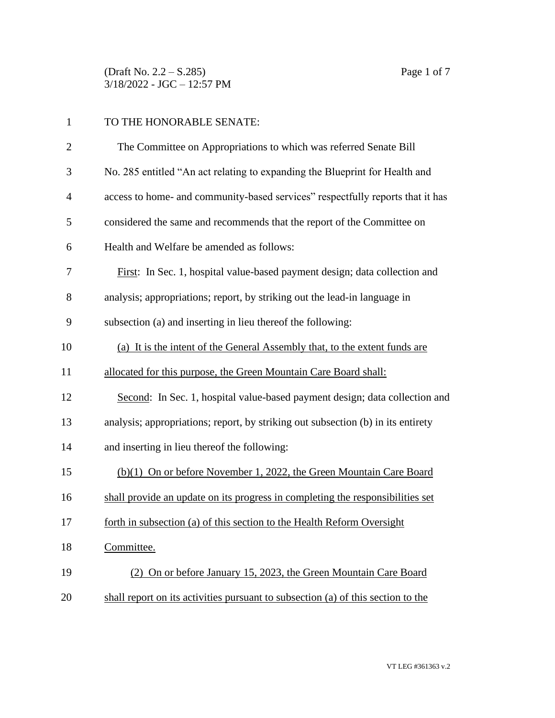(Draft No. 2.2 – S.285) Page 1 of 7 3/18/2022 - JGC – 12:57 PM

| $\mathbf{1}$   | TO THE HONORABLE SENATE:                                                         |  |  |  |
|----------------|----------------------------------------------------------------------------------|--|--|--|
| $\overline{2}$ | The Committee on Appropriations to which was referred Senate Bill                |  |  |  |
| 3              | No. 285 entitled "An act relating to expanding the Blueprint for Health and      |  |  |  |
| $\overline{4}$ | access to home- and community-based services" respectfully reports that it has   |  |  |  |
| 5              | considered the same and recommends that the report of the Committee on           |  |  |  |
| 6              | Health and Welfare be amended as follows:                                        |  |  |  |
| 7              | First: In Sec. 1, hospital value-based payment design; data collection and       |  |  |  |
| 8              | analysis; appropriations; report, by striking out the lead-in language in        |  |  |  |
| 9              | subsection (a) and inserting in lieu thereof the following:                      |  |  |  |
| 10             | (a) It is the intent of the General Assembly that, to the extent funds are       |  |  |  |
| 11             | allocated for this purpose, the Green Mountain Care Board shall:                 |  |  |  |
| 12             | Second: In Sec. 1, hospital value-based payment design; data collection and      |  |  |  |
| 13             | analysis; appropriations; report, by striking out subsection (b) in its entirety |  |  |  |
| 14             | and inserting in lieu thereof the following:                                     |  |  |  |
| 15             | (b)(1) On or before November 1, 2022, the Green Mountain Care Board              |  |  |  |
| 16             | shall provide an update on its progress in completing the responsibilities set   |  |  |  |
| 17             | forth in subsection (a) of this section to the Health Reform Oversight           |  |  |  |
| 18             | Committee.                                                                       |  |  |  |
| 19             | (2) On or before January 15, 2023, the Green Mountain Care Board                 |  |  |  |
| 20             | shall report on its activities pursuant to subsection (a) of this section to the |  |  |  |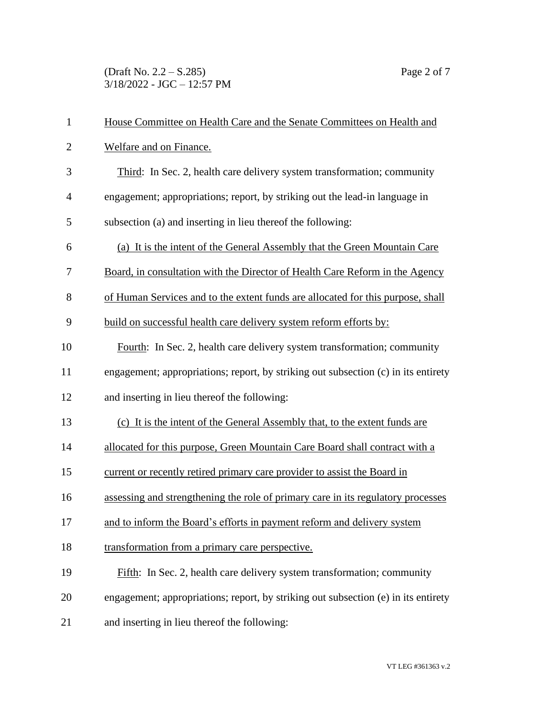(Draft No. 2.2 – S.285) Page 2 of 7 3/18/2022 - JGC – 12:57 PM

| $\mathbf{1}$   | House Committee on Health Care and the Senate Committees on Health and             |  |  |
|----------------|------------------------------------------------------------------------------------|--|--|
| $\overline{2}$ | Welfare and on Finance.                                                            |  |  |
| 3              | Third: In Sec. 2, health care delivery system transformation; community            |  |  |
| $\overline{4}$ | engagement; appropriations; report, by striking out the lead-in language in        |  |  |
| 5              | subsection (a) and inserting in lieu thereof the following:                        |  |  |
| 6              | (a) It is the intent of the General Assembly that the Green Mountain Care          |  |  |
| 7              | Board, in consultation with the Director of Health Care Reform in the Agency       |  |  |
| 8              | of Human Services and to the extent funds are allocated for this purpose, shall    |  |  |
| 9              | build on successful health care delivery system reform efforts by:                 |  |  |
| 10             | Fourth: In Sec. 2, health care delivery system transformation; community           |  |  |
| 11             | engagement; appropriations; report, by striking out subsection (c) in its entirety |  |  |
| 12             | and inserting in lieu thereof the following:                                       |  |  |
| 13             | (c) It is the intent of the General Assembly that, to the extent funds are         |  |  |
| 14             | allocated for this purpose, Green Mountain Care Board shall contract with a        |  |  |
| 15             | current or recently retired primary care provider to assist the Board in           |  |  |
| 16             | assessing and strengthening the role of primary care in its regulatory processes   |  |  |
| 17             | and to inform the Board's efforts in payment reform and delivery system            |  |  |
| 18             | transformation from a primary care perspective.                                    |  |  |
| 19             | Fifth: In Sec. 2, health care delivery system transformation; community            |  |  |
|                |                                                                                    |  |  |
| 20             | engagement; appropriations; report, by striking out subsection (e) in its entirety |  |  |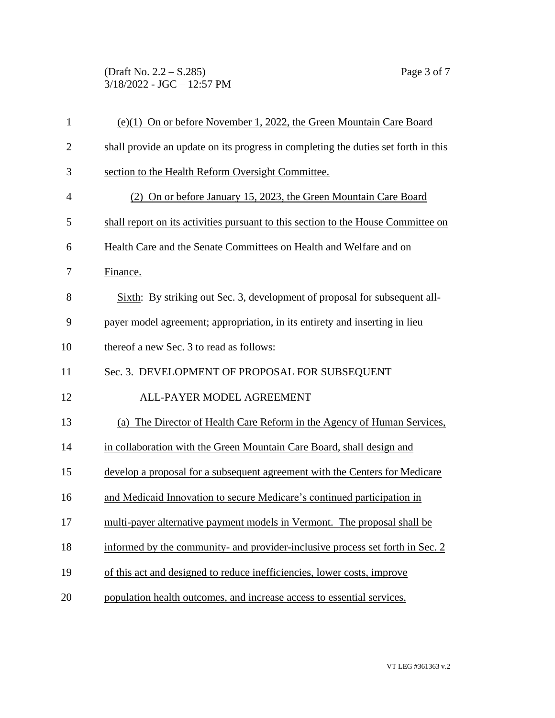(Draft No. 2.2 – S.285) Page 3 of 7 3/18/2022 - JGC – 12:57 PM

| $\mathbf{1}$   | (e)(1) On or before November 1, 2022, the Green Mountain Care Board                |
|----------------|------------------------------------------------------------------------------------|
| $\overline{2}$ | shall provide an update on its progress in completing the duties set forth in this |
| 3              | section to the Health Reform Oversight Committee.                                  |
| $\overline{4}$ | (2) On or before January 15, 2023, the Green Mountain Care Board                   |
| 5              | shall report on its activities pursuant to this section to the House Committee on  |
| 6              | Health Care and the Senate Committees on Health and Welfare and on                 |
| 7              | Finance.                                                                           |
| 8              | Sixth: By striking out Sec. 3, development of proposal for subsequent all-         |
| 9              | payer model agreement; appropriation, in its entirety and inserting in lieu        |
| 10             | thereof a new Sec. 3 to read as follows:                                           |
| 11             | Sec. 3. DEVELOPMENT OF PROPOSAL FOR SUBSEQUENT                                     |
| 12             | ALL-PAYER MODEL AGREEMENT                                                          |
| 13             | (a) The Director of Health Care Reform in the Agency of Human Services,            |
| 14             | in collaboration with the Green Mountain Care Board, shall design and              |
| 15             | develop a proposal for a subsequent agreement with the Centers for Medicare        |
| 16             | and Medicaid Innovation to secure Medicare's continued participation in            |
| 17             | multi-payer alternative payment models in Vermont. The proposal shall be           |
| 18             | informed by the community- and provider-inclusive process set forth in Sec. 2      |
| 19             | of this act and designed to reduce inefficiencies, lower costs, improve            |
| 20             | population health outcomes, and increase access to essential services.             |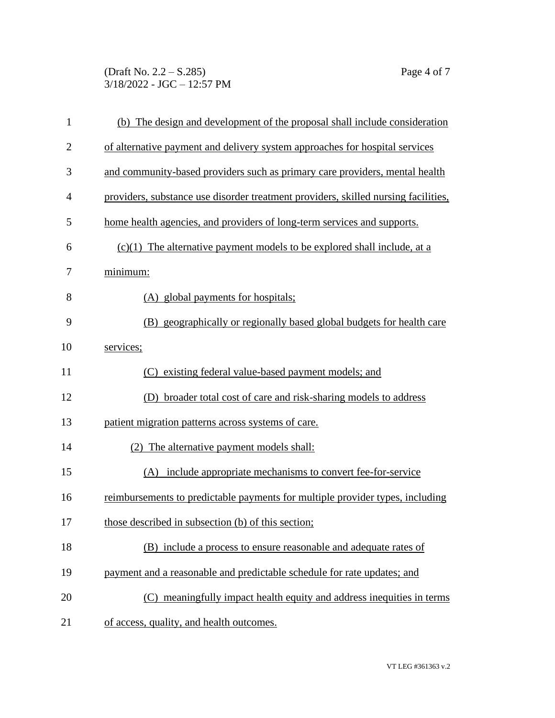(Draft No. 2.2 – S.285) Page 4 of 7 3/18/2022 - JGC – 12:57 PM

| $\mathbf{1}$   | (b) The design and development of the proposal shall include consideration         |  |  |  |
|----------------|------------------------------------------------------------------------------------|--|--|--|
| $\overline{2}$ | of alternative payment and delivery system approaches for hospital services        |  |  |  |
| 3              | and community-based providers such as primary care providers, mental health        |  |  |  |
| $\overline{4}$ | providers, substance use disorder treatment providers, skilled nursing facilities, |  |  |  |
| 5              | home health agencies, and providers of long-term services and supports.            |  |  |  |
| 6              | $(c)(1)$ The alternative payment models to be explored shall include, at a         |  |  |  |
| 7              | minimum:                                                                           |  |  |  |
| 8              | (A) global payments for hospitals;                                                 |  |  |  |
| 9              | (B) geographically or regionally based global budgets for health care              |  |  |  |
| 10             | services;                                                                          |  |  |  |
| 11             | existing federal value-based payment models; and<br>(C)                            |  |  |  |
| 12             | (D) broader total cost of care and risk-sharing models to address                  |  |  |  |
| 13             | patient migration patterns across systems of care.                                 |  |  |  |
| 14             | (2) The alternative payment models shall:                                          |  |  |  |
| 15             | (A) include appropriate mechanisms to convert fee-for-service                      |  |  |  |
| 16             | reimbursements to predictable payments for multiple provider types, including      |  |  |  |
| 17             | those described in subsection (b) of this section;                                 |  |  |  |
| 18             | (B) include a process to ensure reasonable and adequate rates of                   |  |  |  |
| 19             | payment and a reasonable and predictable schedule for rate updates; and            |  |  |  |
| 20             | (C) meaningfully impact health equity and address inequities in terms              |  |  |  |
| 21             | of access, quality, and health outcomes.                                           |  |  |  |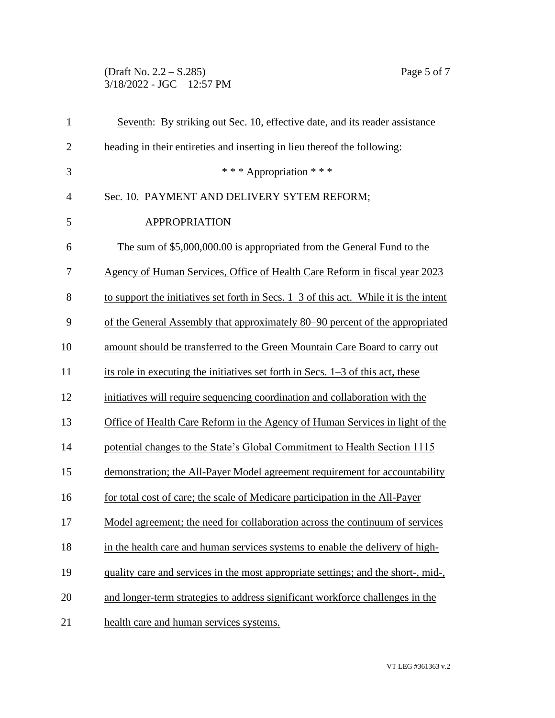## (Draft No. 2.2 – S.285) Page 5 of 7 3/18/2022 - JGC – 12:57 PM

| $\mathbf{1}$   | Seventh: By striking out Sec. 10, effective date, and its reader assistance             |  |  |
|----------------|-----------------------------------------------------------------------------------------|--|--|
| $\overline{2}$ | heading in their entireties and inserting in lieu thereof the following:                |  |  |
| 3              | *** Appropriation ***                                                                   |  |  |
| $\overline{4}$ | Sec. 10. PAYMENT AND DELIVERY SYTEM REFORM;                                             |  |  |
| 5              | <b>APPROPRIATION</b>                                                                    |  |  |
| 6              | The sum of \$5,000,000.00 is appropriated from the General Fund to the                  |  |  |
| 7              | Agency of Human Services, Office of Health Care Reform in fiscal year 2023              |  |  |
| 8              | to support the initiatives set forth in Secs. $1-3$ of this act. While it is the intent |  |  |
| 9              | of the General Assembly that approximately 80–90 percent of the appropriated            |  |  |
| 10             | amount should be transferred to the Green Mountain Care Board to carry out              |  |  |
| 11             | its role in executing the initiatives set forth in Secs. $1-3$ of this act, these       |  |  |
| 12             | initiatives will require sequencing coordination and collaboration with the             |  |  |
| 13             | Office of Health Care Reform in the Agency of Human Services in light of the            |  |  |
| 14             | potential changes to the State's Global Commitment to Health Section 1115               |  |  |
| 15             | demonstration; the All-Payer Model agreement requirement for accountability             |  |  |
| 16             | for total cost of care; the scale of Medicare participation in the All-Payer            |  |  |
| 17             | Model agreement; the need for collaboration across the continuum of services            |  |  |
| 18             | in the health care and human services systems to enable the delivery of high-           |  |  |
| 19             | quality care and services in the most appropriate settings; and the short-, mid-,       |  |  |
| 20             | and longer-term strategies to address significant workforce challenges in the           |  |  |
| 21             | health care and human services systems.                                                 |  |  |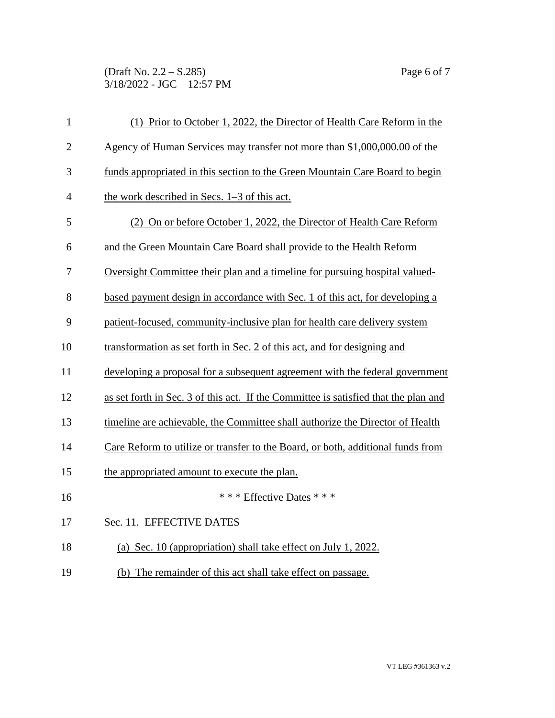(Draft No. 2.2 – S.285) Page 6 of 7 3/18/2022 - JGC – 12:57 PM

| $\mathbf{1}$   | (1) Prior to October 1, 2022, the Director of Health Care Reform in the             |
|----------------|-------------------------------------------------------------------------------------|
| $\overline{2}$ | Agency of Human Services may transfer not more than \$1,000,000.00 of the           |
| 3              | funds appropriated in this section to the Green Mountain Care Board to begin        |
| 4              | the work described in Secs. $1-3$ of this act.                                      |
| 5              | (2) On or before October 1, 2022, the Director of Health Care Reform                |
| 6              | and the Green Mountain Care Board shall provide to the Health Reform                |
| 7              | Oversight Committee their plan and a timeline for pursuing hospital valued-         |
| 8              | based payment design in accordance with Sec. 1 of this act, for developing a        |
| 9              | patient-focused, community-inclusive plan for health care delivery system           |
| 10             | transformation as set forth in Sec. 2 of this act, and for designing and            |
| 11             | developing a proposal for a subsequent agreement with the federal government        |
| 12             | as set forth in Sec. 3 of this act. If the Committee is satisfied that the plan and |
| 13             | timeline are achievable, the Committee shall authorize the Director of Health       |
| 14             | Care Reform to utilize or transfer to the Board, or both, additional funds from     |
| 15             | the appropriated amount to execute the plan.                                        |
| 16             | * * * Effective Dates * * *                                                         |
| 17             | Sec. 11. EFFECTIVE DATES                                                            |
| 18             | (a) Sec. 10 (appropriation) shall take effect on July 1, 2022.                      |
| 19             | (b) The remainder of this act shall take effect on passage.                         |